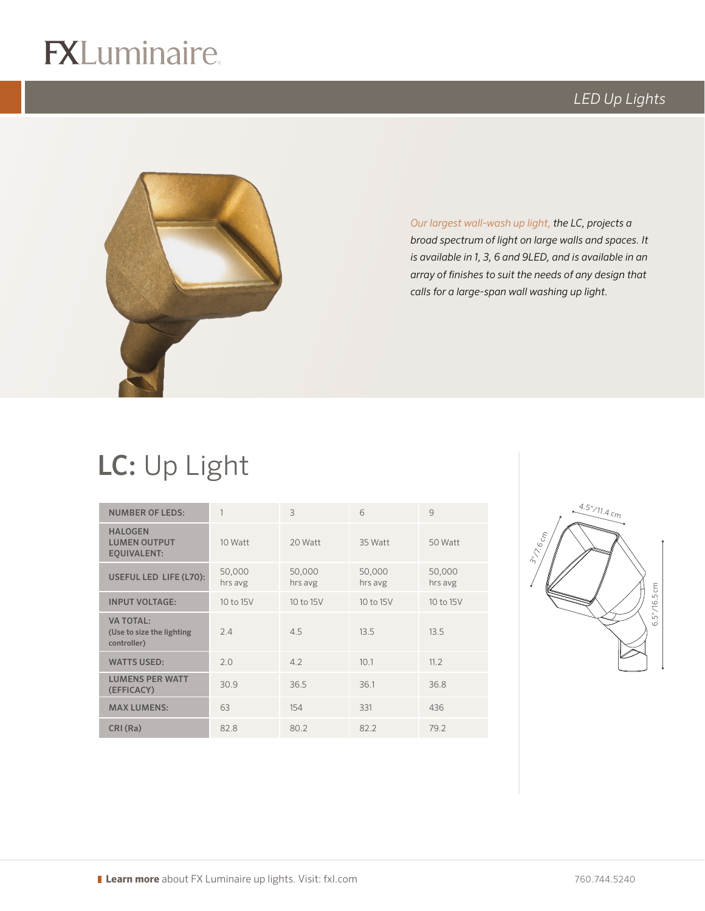# $R$

### *LED Up Lights*



*Our largest wall-wash up light, the LC, projects a broad spectrum of light on large walls and spaces. It is available in 1, 3, 6 and 9LED, and is available in an array of finishes to suit the needs of any design that calls for a large-span wall washing up light.* 

## LC: Up Light

| <b>NUMBER OF LEDS:</b>                                       | 1                 | $\mathcal{L}$     | 6                 | 9                 |
|--------------------------------------------------------------|-------------------|-------------------|-------------------|-------------------|
| <b>HALOGEN</b><br><b>LUMEN OUTPUT</b><br><b>EQUIVALENT:</b>  | 10 Watt           | 20 Watt           | 35 Watt           | 50 Watt           |
| USEFUL LED LIFE (L70):                                       | 50,000<br>hrs avg | 50,000<br>hrs avg | 50,000<br>hrs avg | 50,000<br>hrs avg |
| <b>INPUT VOLTAGE:</b>                                        | 10 to 15V         | 10 to 15V         | 10 to 15V         | 10 to 15V         |
| <b>VA TOTAL:</b><br>(Use to size the lighting<br>controller) | 2.4               | 4.5               | 13.5              | 13.5              |
| <b>WATTS USED:</b>                                           | 2.0               | 4.2               | 10.1              | 11.2              |
| <b>LUMENS PER WATT</b><br>(EFFICACY)                         | 30.9              | 36.5              | 36.1              | 36.8              |
| <b>MAX LUMENS:</b>                                           | 63                | 154               | 331               | 436               |
| CRI (Ra)                                                     | 82.8              | 80.2              | 82.2              | 79.2              |

logo (4-color CMYK)